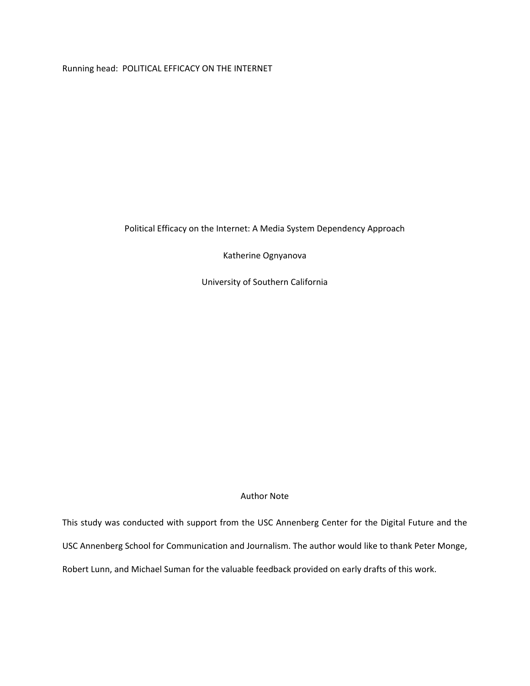Running head: POLITICAL EFFICACY ON THE INTERNET

Political Efficacy on the Internet: A Media System Dependency Approach

Katherine Ognyanova

University of Southern California

# Author Note

This study was conducted with support from the USC Annenberg Center for the Digital Future and the USC Annenberg School for Communication and Journalism. The author would like to thank Peter Monge, Robert Lunn, and Michael Suman for the valuable feedback provided on early drafts of this work.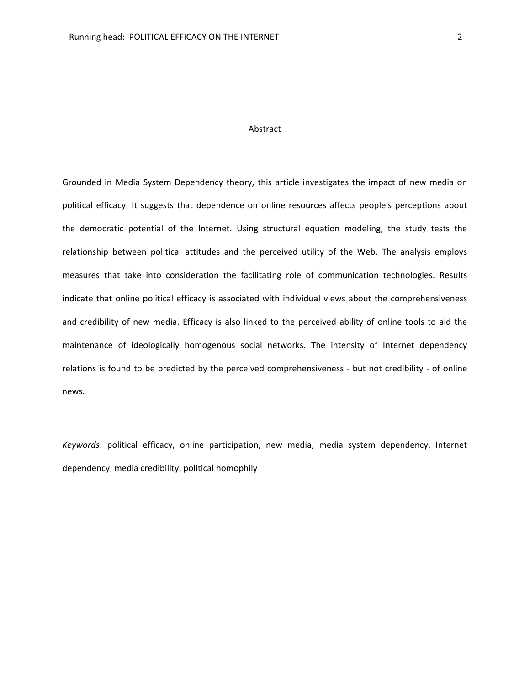# Abstract

Grounded in Media System Dependency theory, this article investigates the impact of new media on political efficacy. It suggests that dependence on online resources affects people's perceptions about the democratic potential of the Internet. Using structural equation modeling, the study tests the relationship between political attitudes and the perceived utility of the Web. The analysis employs measures that take into consideration the facilitating role of communication technologies. Results indicate that online political efficacy is associated with individual views about the comprehensiveness and credibility of new media. Efficacy is also linked to the perceived ability of online tools to aid the maintenance of ideologically homogenous social networks. The intensity of Internet dependency relations is found to be predicted by the perceived comprehensiveness - but not credibility - of online news.

*Keywords*: political efficacy, online participation, new media, media system dependency, Internet dependency, media credibility, political homophily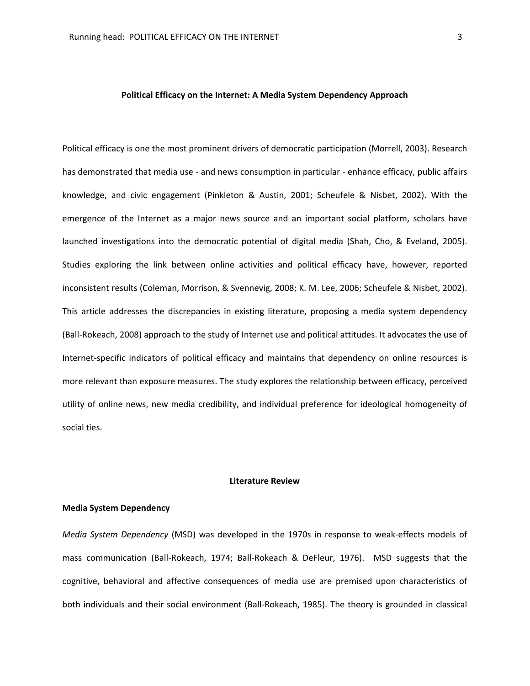# **Political Efficacy on the Internet: A Media System Dependency Approach**

Political efficacy is one the most prominent drivers of democratic participation (Morrell, 2003). Research has demonstrated that media use - and news consumption in particular - enhance efficacy, public affairs knowledge, and civic engagement (Pinkleton & Austin, 2001; Scheufele & Nisbet, 2002). With the emergence of the Internet as a major news source and an important social platform, scholars have launched investigations into the democratic potential of digital media (Shah, Cho, & Eveland, 2005). Studies exploring the link between online activities and political efficacy have, however, reported inconsistent results (Coleman, Morrison, & Svennevig, 2008; K. M. Lee, 2006; Scheufele & Nisbet, 2002). This article addresses the discrepancies in existing literature, proposing a media system dependency (Ball-Rokeach, 2008) approach to the study of Internet use and political attitudes. It advocates the use of Internet-specific indicators of political efficacy and maintains that dependency on online resources is more relevant than exposure measures. The study explores the relationship between efficacy, perceived utility of online news, new media credibility, and individual preference for ideological homogeneity of social ties.

## **Literature Review**

#### **Media System Dependency**

*Media System Dependency* (MSD) was developed in the 1970s in response to weak-effects models of mass communication (Ball-Rokeach, 1974; Ball-Rokeach & DeFleur, 1976). MSD suggests that the cognitive, behavioral and affective consequences of media use are premised upon characteristics of both individuals and their social environment (Ball-Rokeach, 1985). The theory is grounded in classical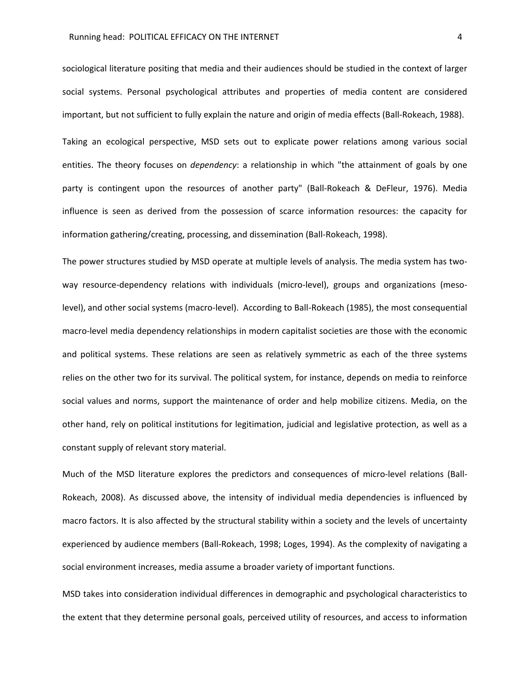sociological literature positing that media and their audiences should be studied in the context of larger social systems. Personal psychological attributes and properties of media content are considered important, but not sufficient to fully explain the nature and origin of media effects (Ball-Rokeach, 1988).

Taking an ecological perspective, MSD sets out to explicate power relations among various social entities. The theory focuses on *dependency*: a relationship in which "the attainment of goals by one party is contingent upon the resources of another party" (Ball-Rokeach & DeFleur, 1976). Media influence is seen as derived from the possession of scarce information resources: the capacity for information gathering/creating, processing, and dissemination (Ball-Rokeach, 1998).

The power structures studied by MSD operate at multiple levels of analysis. The media system has twoway resource-dependency relations with individuals (micro-level), groups and organizations (mesolevel), and other social systems (macro-level). According to Ball-Rokeach (1985), the most consequential macro-level media dependency relationships in modern capitalist societies are those with the economic and political systems. These relations are seen as relatively symmetric as each of the three systems relies on the other two for its survival. The political system, for instance, depends on media to reinforce social values and norms, support the maintenance of order and help mobilize citizens. Media, on the other hand, rely on political institutions for legitimation, judicial and legislative protection, as well as a constant supply of relevant story material.

Much of the MSD literature explores the predictors and consequences of micro-level relations (Ball-Rokeach, 2008). As discussed above, the intensity of individual media dependencies is influenced by macro factors. It is also affected by the structural stability within a society and the levels of uncertainty experienced by audience members (Ball-Rokeach, 1998; Loges, 1994). As the complexity of navigating a social environment increases, media assume a broader variety of important functions.

MSD takes into consideration individual differences in demographic and psychological characteristics to the extent that they determine personal goals, perceived utility of resources, and access to information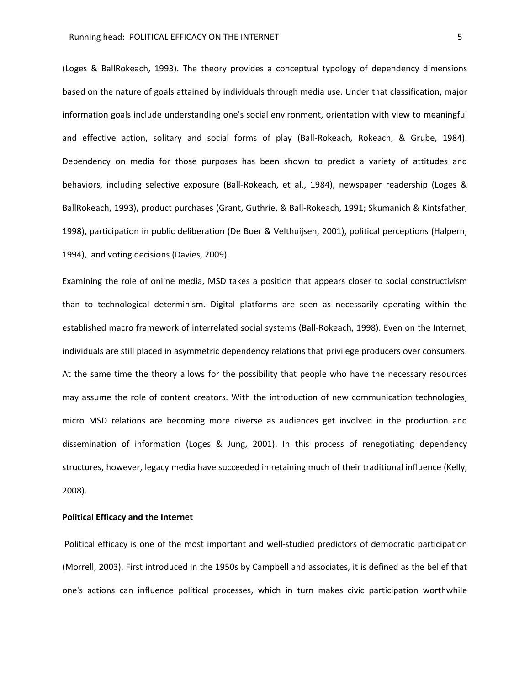## Running head: POLITICAL EFFICACY ON THE INTERNET **FIGURE 10** S

(Loges & BallRokeach, 1993). The theory provides a conceptual typology of dependency dimensions based on the nature of goals attained by individuals through media use. Under that classification, major information goals include understanding one's social environment, orientation with view to meaningful and effective action, solitary and social forms of play (Ball-Rokeach, Rokeach, & Grube, 1984). Dependency on media for those purposes has been shown to predict a variety of attitudes and behaviors, including selective exposure (Ball-Rokeach, et al., 1984), newspaper readership (Loges & BallRokeach, 1993), product purchases (Grant, Guthrie, & Ball-Rokeach, 1991; Skumanich & Kintsfather, 1998), participation in public deliberation (De Boer & Velthuijsen, 2001), political perceptions (Halpern, 1994), and voting decisions (Davies, 2009).

Examining the role of online media, MSD takes a position that appears closer to social constructivism than to technological determinism. Digital platforms are seen as necessarily operating within the established macro framework of interrelated social systems (Ball-Rokeach, 1998). Even on the Internet, individuals are still placed in asymmetric dependency relations that privilege producers over consumers. At the same time the theory allows for the possibility that people who have the necessary resources may assume the role of content creators. With the introduction of new communication technologies, micro MSD relations are becoming more diverse as audiences get involved in the production and dissemination of information (Loges & Jung, 2001). In this process of renegotiating dependency structures, however, legacy media have succeeded in retaining much of their traditional influence (Kelly, 2008).

# **Political Efficacy and the Internet**

Political efficacy is one of the most important and well-studied predictors of democratic participation (Morrell, 2003). First introduced in the 1950s by Campbell and associates, it is defined as the belief that one's actions can influence political processes, which in turn makes civic participation worthwhile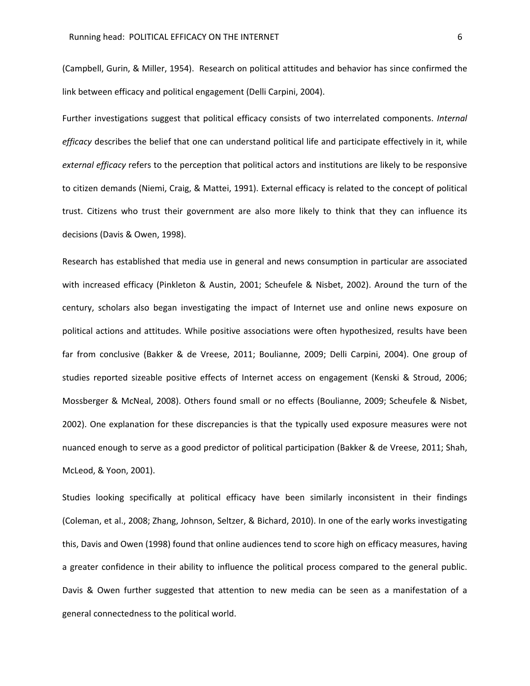(Campbell, Gurin, & Miller, 1954). Research on political attitudes and behavior has since confirmed the link between efficacy and political engagement (Delli Carpini, 2004).

Further investigations suggest that political efficacy consists of two interrelated components. *Internal efficacy* describes the belief that one can understand political life and participate effectively in it, while *external efficacy* refers to the perception that political actors and institutions are likely to be responsive to citizen demands (Niemi, Craig, & Mattei, 1991). External efficacy is related to the concept of political trust. Citizens who trust their government are also more likely to think that they can influence its decisions (Davis & Owen, 1998).

Research has established that media use in general and news consumption in particular are associated with increased efficacy (Pinkleton & Austin, 2001; Scheufele & Nisbet, 2002). Around the turn of the century, scholars also began investigating the impact of Internet use and online news exposure on political actions and attitudes. While positive associations were often hypothesized, results have been far from conclusive (Bakker & de Vreese, 2011; Boulianne, 2009; Delli Carpini, 2004). One group of studies reported sizeable positive effects of Internet access on engagement (Kenski & Stroud, 2006; Mossberger & McNeal, 2008). Others found small or no effects (Boulianne, 2009; Scheufele & Nisbet, 2002). One explanation for these discrepancies is that the typically used exposure measures were not nuanced enough to serve as a good predictor of political participation (Bakker & de Vreese, 2011; Shah, McLeod, & Yoon, 2001).

Studies looking specifically at political efficacy have been similarly inconsistent in their findings (Coleman, et al., 2008; Zhang, Johnson, Seltzer, & Bichard, 2010). In one of the early works investigating this, Davis and Owen (1998) found that online audiences tend to score high on efficacy measures, having a greater confidence in their ability to influence the political process compared to the general public. Davis & Owen further suggested that attention to new media can be seen as a manifestation of a general connectedness to the political world.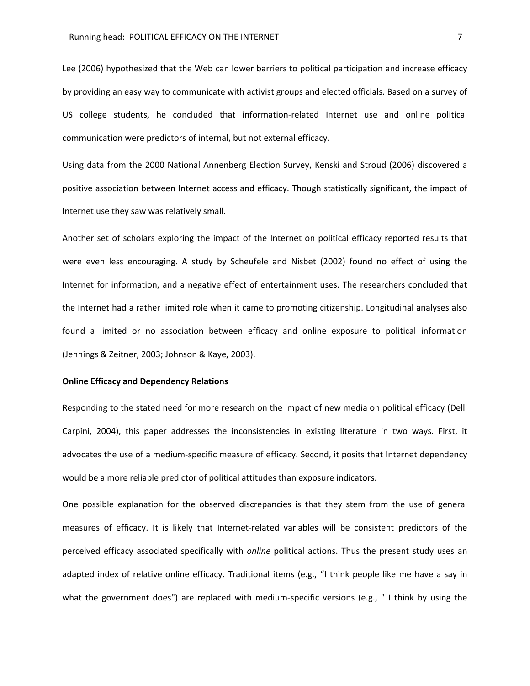Lee (2006) hypothesized that the Web can lower barriers to political participation and increase efficacy by providing an easy way to communicate with activist groups and elected officials. Based on a survey of US college students, he concluded that information-related Internet use and online political communication were predictors of internal, but not external efficacy.

Using data from the 2000 National Annenberg Election Survey, Kenski and Stroud (2006) discovered a positive association between Internet access and efficacy. Though statistically significant, the impact of Internet use they saw was relatively small.

Another set of scholars exploring the impact of the Internet on political efficacy reported results that were even less encouraging. A study by Scheufele and Nisbet (2002) found no effect of using the Internet for information, and a negative effect of entertainment uses. The researchers concluded that the Internet had a rather limited role when it came to promoting citizenship. Longitudinal analyses also found a limited or no association between efficacy and online exposure to political information (Jennings & Zeitner, 2003; Johnson & Kaye, 2003).

## **Online Efficacy and Dependency Relations**

Responding to the stated need for more research on the impact of new media on political efficacy (Delli Carpini, 2004), this paper addresses the inconsistencies in existing literature in two ways. First, it advocates the use of a medium-specific measure of efficacy. Second, it posits that Internet dependency would be a more reliable predictor of political attitudes than exposure indicators.

One possible explanation for the observed discrepancies is that they stem from the use of general measures of efficacy. It is likely that Internet-related variables will be consistent predictors of the perceived efficacy associated specifically with *online* political actions. Thus the present study uses an adapted index of relative online efficacy. Traditional items (e.g., "I think people like me have a say in what the government does") are replaced with medium-specific versions (e.g., " I think by using the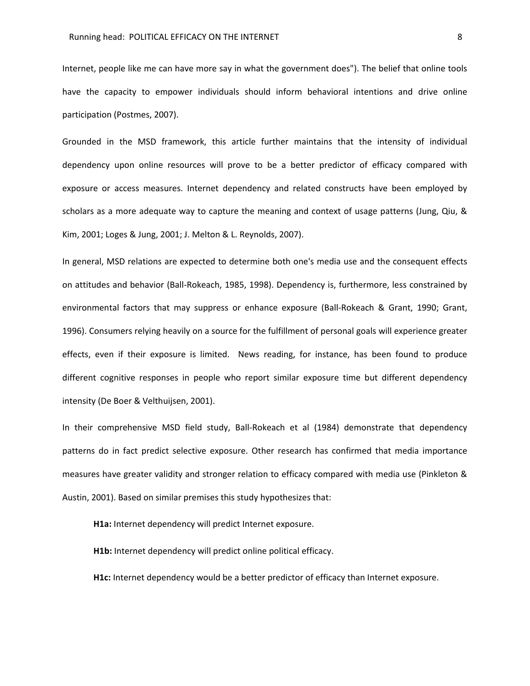Internet, people like me can have more say in what the government does"). The belief that online tools have the capacity to empower individuals should inform behavioral intentions and drive online participation (Postmes, 2007).

Grounded in the MSD framework, this article further maintains that the intensity of individual dependency upon online resources will prove to be a better predictor of efficacy compared with exposure or access measures. Internet dependency and related constructs have been employed by scholars as a more adequate way to capture the meaning and context of usage patterns (Jung, Qiu, & Kim, 2001; Loges & Jung, 2001; J. Melton & L. Reynolds, 2007).

In general, MSD relations are expected to determine both one's media use and the consequent effects on attitudes and behavior (Ball-Rokeach, 1985, 1998). Dependency is, furthermore, less constrained by environmental factors that may suppress or enhance exposure (Ball-Rokeach & Grant, 1990; Grant, 1996). Consumers relying heavily on a source for the fulfillment of personal goals will experience greater effects, even if their exposure is limited. News reading, for instance, has been found to produce different cognitive responses in people who report similar exposure time but different dependency intensity (De Boer & Velthuijsen, 2001).

In their comprehensive MSD field study, Ball-Rokeach et al (1984) demonstrate that dependency patterns do in fact predict selective exposure. Other research has confirmed that media importance measures have greater validity and stronger relation to efficacy compared with media use (Pinkleton & Austin, 2001). Based on similar premises this study hypothesizes that:

**H1a:** Internet dependency will predict Internet exposure.

**H1b:** Internet dependency will predict online political efficacy.

**H1c:** Internet dependency would be a better predictor of efficacy than Internet exposure.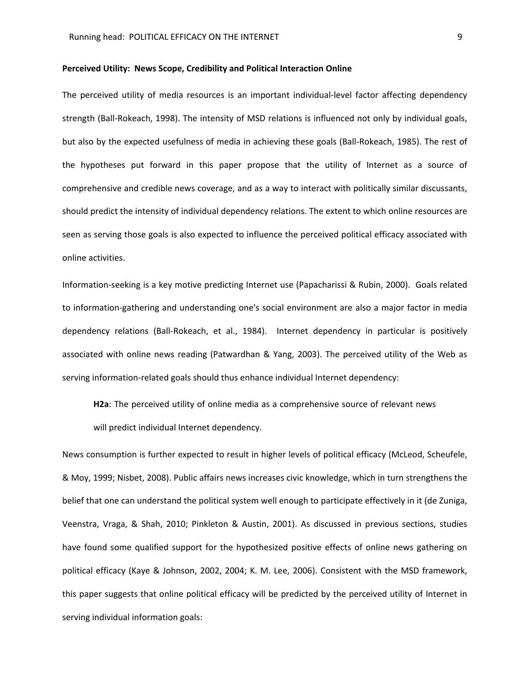## **Perceived Utility: News Scope, Credibility and Political Interaction Online**

The perceived utility of media resources is an important individual-level factor affecting dependency strength (Ball-Rokeach, 1998). The intensity of MSD relations is influenced not only by individual goals, but also by the expected usefulness of media in achieving these goals (Ball-Rokeach, 1985). The rest of the hypotheses put forward in this paper propose that the utility of Internet as a source of comprehensive and credible news coverage, and as a way to interact with politically similar discussants, should predict the intensity of individual dependency relations. The extent to which online resources are seen as serving those goals is also expected to influence the perceived political efficacy associated with online activities.

Information-seeking is a key motive predicting Internet use (Papacharissi & Rubin, 2000). Goals related to information-gathering and understanding one's social environment are also a major factor in media dependency relations (Ball-Rokeach, et al., 1984). Internet dependency in particular is positively associated with online news reading (Patwardhan & Yang, 2003). The perceived utility of the Web as serving information-related goals should thus enhance individual Internet dependency:

**H2a**: The perceived utility of online media as a comprehensive source of relevant news

will predict individual Internet dependency.

News consumption is further expected to result in higher levels of political efficacy (McLeod, Scheufele, & Moy, 1999; Nisbet, 2008). Public affairs news increases civic knowledge, which in turn strengthens the belief that one can understand the political system well enough to participate effectively in it (de Zuniga, Veenstra, Vraga, & Shah, 2010; Pinkleton & Austin, 2001). As discussed in previous sections, studies have found some qualified support for the hypothesized positive effects of online news gathering on political efficacy (Kaye & Johnson, 2002, 2004; K. M. Lee, 2006). Consistent with the MSD framework, this paper suggests that online political efficacy will be predicted by the perceived utility of Internet in serving individual information goals: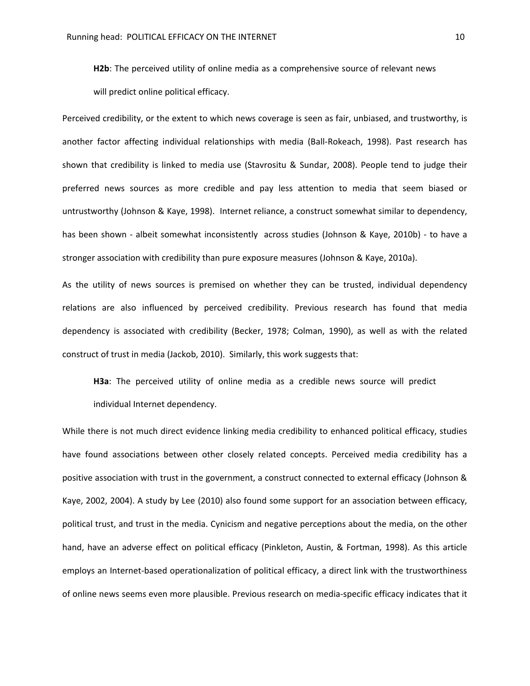**H2b**: The perceived utility of online media as a comprehensive source of relevant news will predict online political efficacy.

Perceived credibility, or the extent to which news coverage is seen as fair, unbiased, and trustworthy, is another factor affecting individual relationships with media (Ball-Rokeach, 1998). Past research has shown that credibility is linked to media use (Stavrositu & Sundar, 2008). People tend to judge their preferred news sources as more credible and pay less attention to media that seem biased or untrustworthy (Johnson & Kaye, 1998). Internet reliance, a construct somewhat similar to dependency, has been shown - albeit somewhat inconsistently across studies (Johnson & Kaye, 2010b) - to have a stronger association with credibility than pure exposure measures (Johnson & Kaye, 2010a).

As the utility of news sources is premised on whether they can be trusted, individual dependency relations are also influenced by perceived credibility. Previous research has found that media dependency is associated with credibility (Becker, 1978; Colman, 1990), as well as with the related construct of trust in media (Jackob, 2010). Similarly, this work suggests that:

**H3a**: The perceived utility of online media as a credible news source will predict individual Internet dependency.

While there is not much direct evidence linking media credibility to enhanced political efficacy, studies have found associations between other closely related concepts. Perceived media credibility has a positive association with trust in the government, a construct connected to external efficacy (Johnson & Kaye, 2002, 2004). A study by Lee (2010) also found some support for an association between efficacy, political trust, and trust in the media. Cynicism and negative perceptions about the media, on the other hand, have an adverse effect on political efficacy (Pinkleton, Austin, & Fortman, 1998). As this article employs an Internet-based operationalization of political efficacy, a direct link with the trustworthiness of online news seems even more plausible. Previous research on media-specific efficacy indicates that it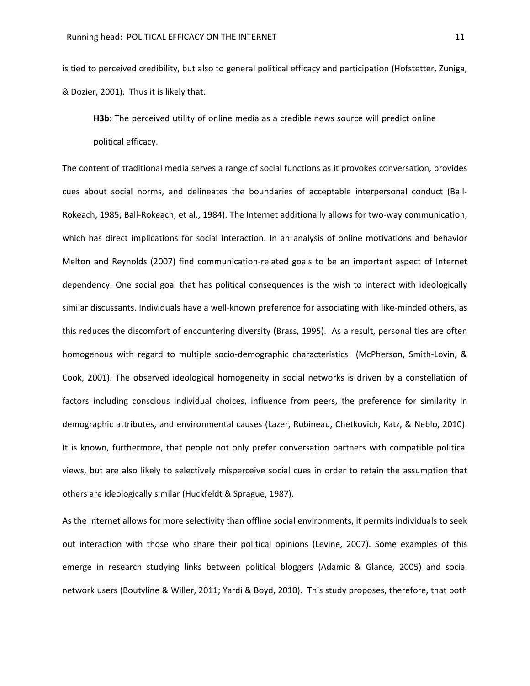is tied to perceived credibility, but also to general political efficacy and participation (Hofstetter, Zuniga, & Dozier, 2001). Thus it is likely that:

**H3b**: The perceived utility of online media as a credible news source will predict online political efficacy.

The content of traditional media serves a range of social functions as it provokes conversation, provides cues about social norms, and delineates the boundaries of acceptable interpersonal conduct (Ball-Rokeach, 1985; Ball-Rokeach, et al., 1984). The Internet additionally allows for two-way communication, which has direct implications for social interaction. In an analysis of online motivations and behavior Melton and Reynolds (2007) find communication-related goals to be an important aspect of Internet dependency. One social goal that has political consequences is the wish to interact with ideologically similar discussants. Individuals have a well-known preference for associating with like-minded others, as this reduces the discomfort of encountering diversity (Brass, 1995). As a result, personal ties are often homogenous with regard to multiple socio-demographic characteristics (McPherson, Smith-Lovin, & Cook, 2001). The observed ideological homogeneity in social networks is driven by a constellation of factors including conscious individual choices, influence from peers, the preference for similarity in demographic attributes, and environmental causes (Lazer, Rubineau, Chetkovich, Katz, & Neblo, 2010). It is known, furthermore, that people not only prefer conversation partners with compatible political views, but are also likely to selectively misperceive social cues in order to retain the assumption that others are ideologically similar (Huckfeldt & Sprague, 1987).

As the Internet allows for more selectivity than offline social environments, it permits individuals to seek out interaction with those who share their political opinions (Levine, 2007). Some examples of this emerge in research studying links between political bloggers (Adamic & Glance, 2005) and social network users (Boutyline & Willer, 2011; Yardi & Boyd, 2010). This study proposes, therefore, that both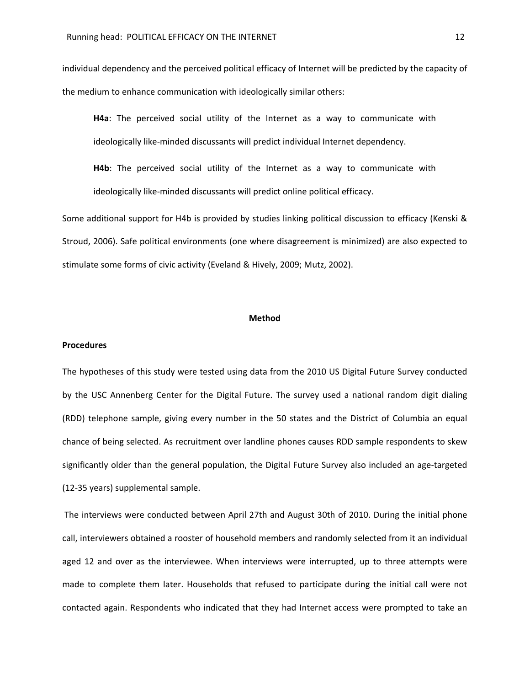individual dependency and the perceived political efficacy of Internet will be predicted by the capacity of the medium to enhance communication with ideologically similar others:

**H4a**: The perceived social utility of the Internet as a way to communicate with ideologically like-minded discussants will predict individual Internet dependency.

**H4b**: The perceived social utility of the Internet as a way to communicate with ideologically like-minded discussants will predict online political efficacy.

Some additional support for H4b is provided by studies linking political discussion to efficacy (Kenski & Stroud, 2006). Safe political environments (one where disagreement is minimized) are also expected to stimulate some forms of civic activity (Eveland & Hively, 2009; Mutz, 2002).

## **Method**

#### **Procedures**

The hypotheses of this study were tested using data from the 2010 US Digital Future Survey conducted by the USC Annenberg Center for the Digital Future. The survey used a national random digit dialing (RDD) telephone sample, giving every number in the 50 states and the District of Columbia an equal chance of being selected. As recruitment over landline phones causes RDD sample respondents to skew significantly older than the general population, the Digital Future Survey also included an age-targeted (12-35 years) supplemental sample.

The interviews were conducted between April 27th and August 30th of 2010. During the initial phone call, interviewers obtained a rooster of household members and randomly selected from it an individual aged 12 and over as the interviewee. When interviews were interrupted, up to three attempts were made to complete them later. Households that refused to participate during the initial call were not contacted again. Respondents who indicated that they had Internet access were prompted to take an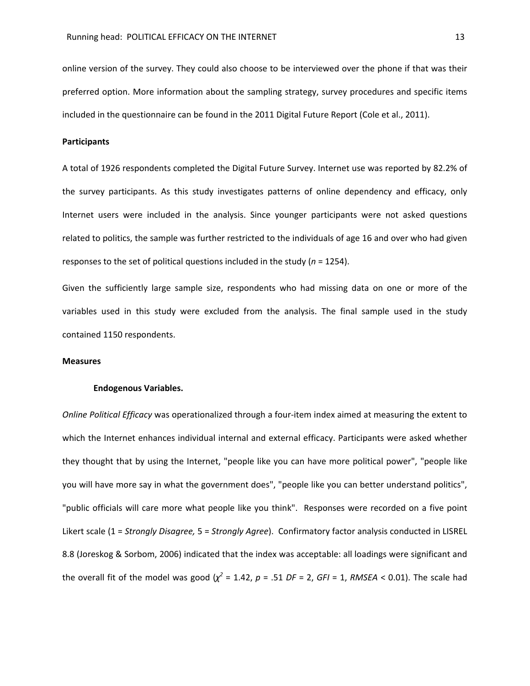online version of the survey. They could also choose to be interviewed over the phone if that was their preferred option. More information about the sampling strategy, survey procedures and specific items included in the questionnaire can be found in the 2011 Digital Future Report (Cole et al., 2011).

## **Participants**

A total of 1926 respondents completed the Digital Future Survey. Internet use was reported by 82.2% of the survey participants. As this study investigates patterns of online dependency and efficacy, only Internet users were included in the analysis. Since younger participants were not asked questions related to politics, the sample was further restricted to the individuals of age 16 and over who had given responses to the set of political questions included in the study (*n* = 1254).

Given the sufficiently large sample size, respondents who had missing data on one or more of the variables used in this study were excluded from the analysis. The final sample used in the study contained 1150 respondents.

# **Measures**

#### **Endogenous Variables.**

*Online Political Efficacy* was operationalized through a four-item index aimed at measuring the extent to which the Internet enhances individual internal and external efficacy. Participants were asked whether they thought that by using the Internet, "people like you can have more political power", "people like you will have more say in what the government does", "people like you can better understand politics", "public officials will care more what people like you think". Responses were recorded on a five point Likert scale (1 = *Strongly Disagree,* 5 = *Strongly Agree*). Confirmatory factor analysis conducted in LISREL 8.8 (Joreskog & Sorbom, 2006) indicated that the index was acceptable: all loadings were significant and the overall fit of the model was good  $(\chi^2 = 1.42, p = .51 \text{ DF} = 2, GF = 1, RMSEA < 0.01)$ . The scale had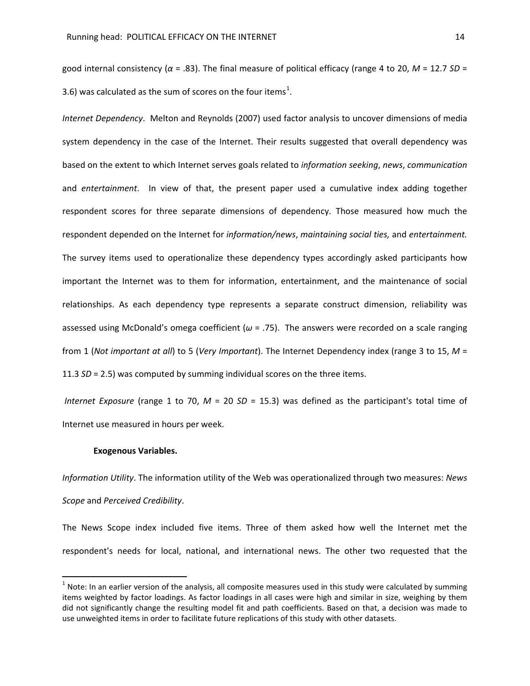good internal consistency (*α* = .83). The final measure of political efficacy (range 4 to 20, *M* = 12.7 *SD* = 3.6) was calculated as the sum of scores on the four items<sup>[1](#page-13-0)</sup>.

*Internet Dependency*. Melton and Reynolds (2007) used factor analysis to uncover dimensions of media system dependency in the case of the Internet. Their results suggested that overall dependency was based on the extent to which Internet serves goals related to *information seeking*, *news*, *communication* and *entertainment*. In view of that, the present paper used a cumulative index adding together respondent scores for three separate dimensions of dependency. Those measured how much the respondent depended on the Internet for *information/news*, *maintaining social ties,* and *entertainment.* The survey items used to operationalize these dependency types accordingly asked participants how important the Internet was to them for information, entertainment, and the maintenance of social relationships. As each dependency type represents a separate construct dimension, reliability was assessed using McDonald's omega coefficient (*ω* = .75). The answers were recorded on a scale ranging from 1 (*Not important at all*) to 5 (*Very Important*). The Internet Dependency index (range 3 to 15, *M* = 11.3 *SD* = 2.5) was computed by summing individual scores on the three items.

*Internet Exposure* (range 1 to 70, *M* = 20 *SD* = 15.3) was defined as the participant's total time of Internet use measured in hours per week.

#### **Exogenous Variables.**

*Information Utility*. The information utility of the Web was operationalized through two measures: *News Scope* and *Perceived Credibility*.

The News Scope index included five items. Three of them asked how well the Internet met the respondent's needs for local, national, and international news. The other two requested that the

<span id="page-13-0"></span> $1$  Note: In an earlier version of the analysis, all composite measures used in this study were calculated by summing items weighted by factor loadings. As factor loadings in all cases were high and similar in size, weighing by them did not significantly change the resulting model fit and path coefficients. Based on that, a decision was made to use unweighted items in order to facilitate future replications of this study with other datasets.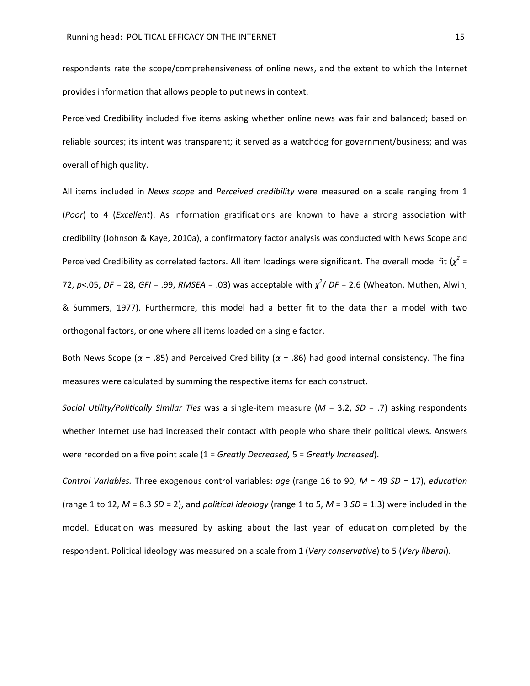respondents rate the scope/comprehensiveness of online news, and the extent to which the Internet provides information that allows people to put news in context.

Perceived Credibility included five items asking whether online news was fair and balanced; based on reliable sources; its intent was transparent; it served as a watchdog for government/business; and was overall of high quality.

All items included in *News scope* and *Perceived credibility* were measured on a scale ranging from 1 (*Poor*) to 4 (*Excellent*). As information gratifications are known to have a strong association with credibility (Johnson & Kaye, 2010a), a confirmatory factor analysis was conducted with News Scope and Perceived Credibility as correlated factors. All item loadings were significant. The overall model fit  $(\chi^2 =$ 72, *p*<.05, *DF* = 28, *GFI* = .99, *RMSEA* = .03) was acceptable with *χ 2* / *DF* = 2.6 (Wheaton, Muthen, Alwin, & Summers, 1977). Furthermore, this model had a better fit to the data than a model with two orthogonal factors, or one where all items loaded on a single factor.

Both News Scope (*α* = .85) and Perceived Credibility (*α* = .86) had good internal consistency. The final measures were calculated by summing the respective items for each construct.

*Social Utility/Politically Similar Ties* was a single-item measure (*M* = 3.2, *SD* = .7) asking respondents whether Internet use had increased their contact with people who share their political views. Answers were recorded on a five point scale (1 = *Greatly Decreased,* 5 = *Greatly Increased*).

*Control Variables.* Three exogenous control variables: *age* (range 16 to 90, *M* = 49 *SD* = 17), *education* (range 1 to 12,  $M = 8.3$  *SD* = 2), and *political ideology* (range 1 to 5,  $M = 3$  *SD* = 1.3) were included in the model. Education was measured by asking about the last year of education completed by the respondent. Political ideology was measured on a scale from 1 (*Very conservative*) to 5 (*Very liberal*).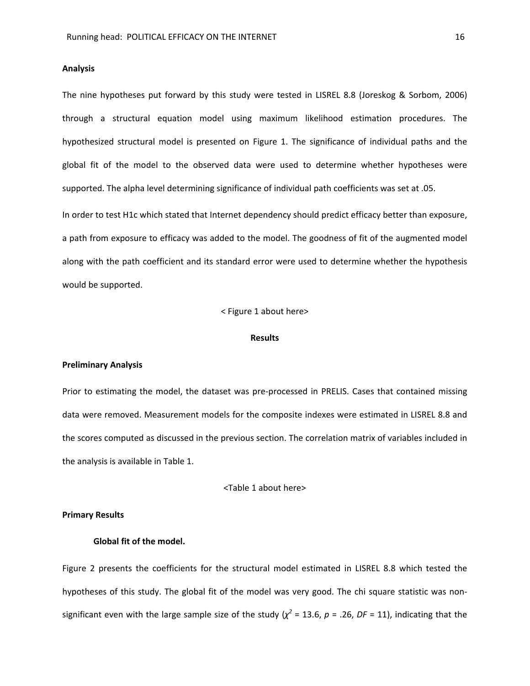#### **Analysis**

The nine hypotheses put forward by this study were tested in LISREL 8.8 (Joreskog & Sorbom, 2006) through a structural equation model using maximum likelihood estimation procedures. The hypothesized structural model is presented on Figure 1. The significance of individual paths and the global fit of the model to the observed data were used to determine whether hypotheses were supported. The alpha level determining significance of individual path coefficients was set at .05.

In order to test H1c which stated that Internet dependency should predict efficacy better than exposure, a path from exposure to efficacy was added to the model. The goodness of fit of the augmented model along with the path coefficient and its standard error were used to determine whether the hypothesis would be supported.

< Figure 1 about here>

#### **Results**

#### **Preliminary Analysis**

Prior to estimating the model, the dataset was pre-processed in PRELIS. Cases that contained missing data were removed. Measurement models for the composite indexes were estimated in LISREL 8.8 and the scores computed as discussed in the previous section. The correlation matrix of variables included in the analysis is available in Table 1.

<Table 1 about here>

# **Primary Results**

## **Global fit of the model.**

Figure 2 presents the coefficients for the structural model estimated in LISREL 8.8 which tested the hypotheses of this study. The global fit of the model was very good. The chi square statistic was nonsignificant even with the large sample size of the study  $(\chi^2 = 13.6, p = .26, DF = 11)$ , indicating that the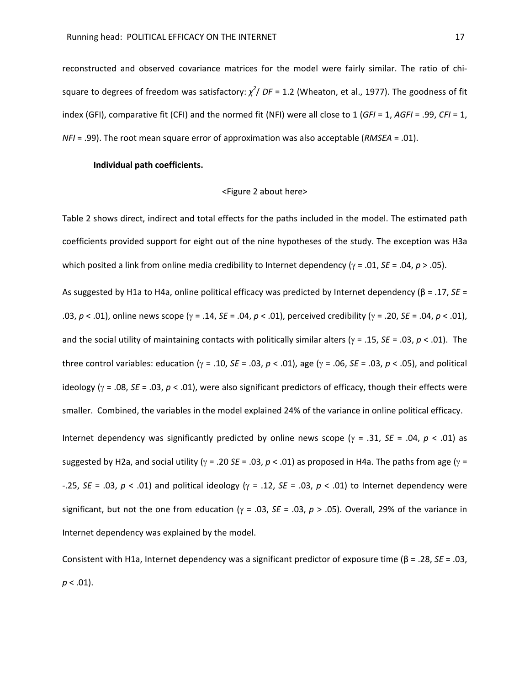reconstructed and observed covariance matrices for the model were fairly similar. The ratio of chisquare to degrees of freedom was satisfactory:  $\chi^2$ / DF = 1.2 (Wheaton, et al., 1977). The goodness of fit index (GFI), comparative fit (CFI) and the normed fit (NFI) were all close to 1 (*GFI* = 1, *AGFI* = .99, *CFI* = 1, *NFI* = .99). The root mean square error of approximation was also acceptable (*RMSEA* = .01).

## **Individual path coefficients.**

#### <Figure 2 about here>

Table 2 shows direct, indirect and total effects for the paths included in the model. The estimated path coefficients provided support for eight out of the nine hypotheses of the study. The exception was H3a which posited a link from online media credibility to Internet dependency (γ = .01, *SE* = .04, *p* > .05). As suggested by H1a to H4a, online political efficacy was predicted by Internet dependency (β = .17, *SE* = .03, *p* < .01), online news scope (γ = .14, *SE* = .04, *p* < .01), perceived credibility (γ = .20, *SE* = .04, *p* < .01), and the social utility of maintaining contacts with politically similar alters (γ = .15, *SE* = .03, *p* < .01). The three control variables: education (γ = .10, *SE* = .03, *p* < .01), age (γ = .06, *SE* = .03, *p* < .05), and political ideology (γ = .08, *SE* = .03, *p* < .01), were also significant predictors of efficacy, though their effects were smaller. Combined, the variables in the model explained 24% of the variance in online political efficacy. Internet dependency was significantly predicted by online news scope (γ = .31, *SE* = .04, *p* < .01) as suggested by H2a, and social utility (γ = .20 *SE* = .03, *p* < .01) as proposed in H4a. The paths from age (γ = -.25, *SE* = .03, *p* < .01) and political ideology (γ = .12, *SE* = .03, *p* < .01) to Internet dependency were significant, but not the one from education (γ = .03, *SE* = .03, *p* > .05). Overall, 29% of the variance in Internet dependency was explained by the model.

Consistent with H1a, Internet dependency was a significant predictor of exposure time (β = .28, *SE* = .03,  $p < .01$ ).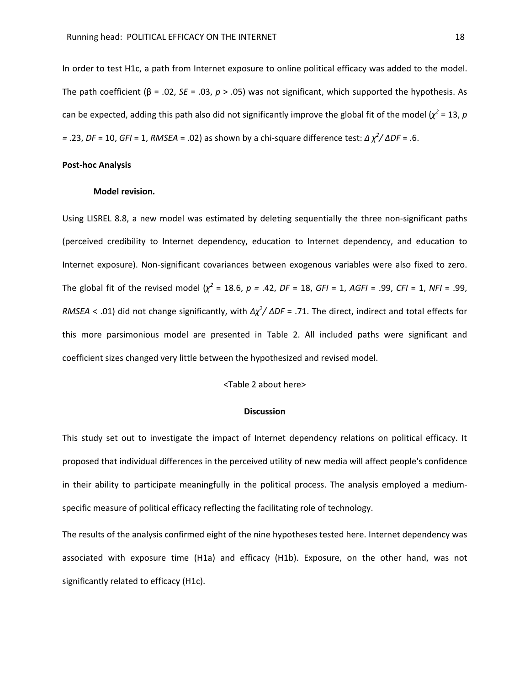In order to test H1c, a path from Internet exposure to online political efficacy was added to the model. The path coefficient (β = .02, *SE* = .03, *p* > .05) was not significant, which supported the hypothesis. As can be expected, adding this path also did not significantly improve the global fit of the model ( $\chi^2$  = 13, p *=* .23, *DF* = 10, *GFI* = 1, *RMSEA* = .02) as shown by a chi-square difference test: *Δ χ 2 / ΔDF* = .6.

### **Post-hoc Analysis**

## **Model revision.**

Using LISREL 8.8, a new model was estimated by deleting sequentially the three non-significant paths (perceived credibility to Internet dependency, education to Internet dependency, and education to Internet exposure). Non-significant covariances between exogenous variables were also fixed to zero. The global fit of the revised model  $(\chi^2 = 18.6, p = .42, DF = 18, GF = 1, AGF = .99, CF = 1, NF = .99,$ *RMSEA* < .01) did not change significantly, with *Δχ 2 / ΔDF* = .71. The direct, indirect and total effects for this more parsimonious model are presented in Table 2. All included paths were significant and coefficient sizes changed very little between the hypothesized and revised model.

# <Table 2 about here>

#### **Discussion**

This study set out to investigate the impact of Internet dependency relations on political efficacy. It proposed that individual differences in the perceived utility of new media will affect people's confidence in their ability to participate meaningfully in the political process. The analysis employed a mediumspecific measure of political efficacy reflecting the facilitating role of technology.

The results of the analysis confirmed eight of the nine hypotheses tested here. Internet dependency was associated with exposure time (H1a) and efficacy (H1b). Exposure, on the other hand, was not significantly related to efficacy (H1c).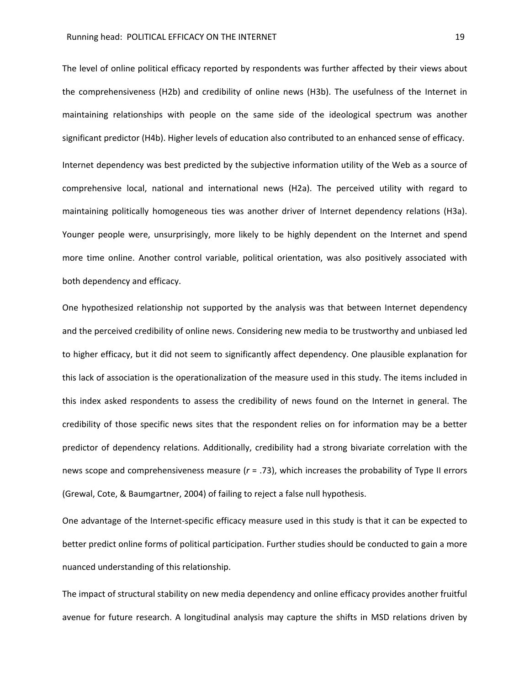The level of online political efficacy reported by respondents was further affected by their views about the comprehensiveness (H2b) and credibility of online news (H3b). The usefulness of the Internet in maintaining relationships with people on the same side of the ideological spectrum was another significant predictor (H4b). Higher levels of education also contributed to an enhanced sense of efficacy. Internet dependency was best predicted by the subjective information utility of the Web as a source of comprehensive local, national and international news (H2a). The perceived utility with regard to maintaining politically homogeneous ties was another driver of Internet dependency relations (H3a). Younger people were, unsurprisingly, more likely to be highly dependent on the Internet and spend more time online. Another control variable, political orientation, was also positively associated with both dependency and efficacy.

One hypothesized relationship not supported by the analysis was that between Internet dependency and the perceived credibility of online news. Considering new media to be trustworthy and unbiased led to higher efficacy, but it did not seem to significantly affect dependency. One plausible explanation for this lack of association is the operationalization of the measure used in this study. The items included in this index asked respondents to assess the credibility of news found on the Internet in general. The credibility of those specific news sites that the respondent relies on for information may be a better predictor of dependency relations. Additionally, credibility had a strong bivariate correlation with the news scope and comprehensiveness measure (*r* = .73), which increases the probability of Type II errors (Grewal, Cote, & Baumgartner, 2004) of failing to reject a false null hypothesis.

One advantage of the Internet-specific efficacy measure used in this study is that it can be expected to better predict online forms of political participation. Further studies should be conducted to gain a more nuanced understanding of this relationship.

The impact of structural stability on new media dependency and online efficacy provides another fruitful avenue for future research. A longitudinal analysis may capture the shifts in MSD relations driven by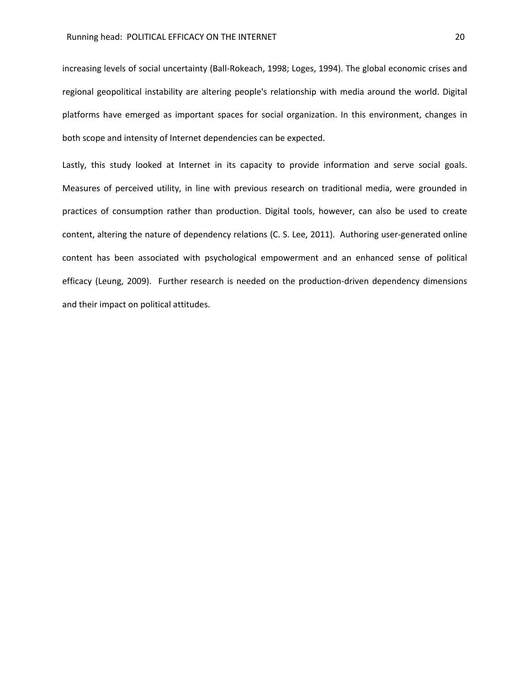increasing levels of social uncertainty (Ball-Rokeach, 1998; Loges, 1994). The global economic crises and regional geopolitical instability are altering people's relationship with media around the world. Digital platforms have emerged as important spaces for social organization. In this environment, changes in both scope and intensity of Internet dependencies can be expected.

Lastly, this study looked at Internet in its capacity to provide information and serve social goals. Measures of perceived utility, in line with previous research on traditional media, were grounded in practices of consumption rather than production. Digital tools, however, can also be used to create content, altering the nature of dependency relations (C. S. Lee, 2011). Authoring user-generated online content has been associated with psychological empowerment and an enhanced sense of political efficacy (Leung, 2009). Further research is needed on the production-driven dependency dimensions and their impact on political attitudes.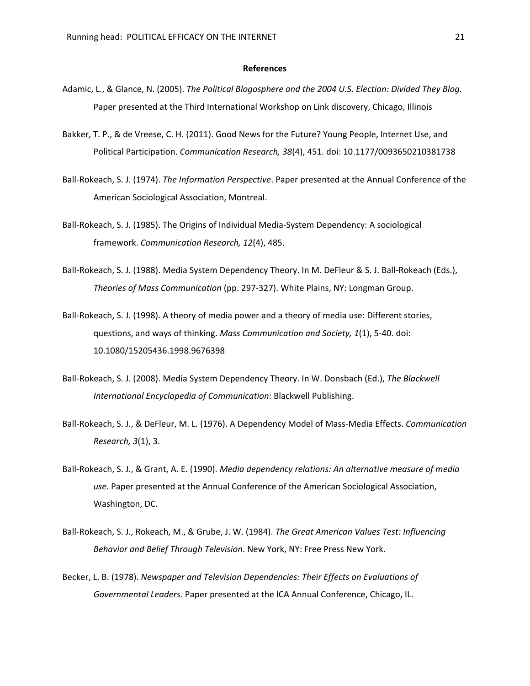#### **References**

- Adamic, L., & Glance, N. (2005). *The Political Blogosphere and the 2004 U.S. Election: Divided They Blog.* Paper presented at the Third International Workshop on Link discovery, Chicago, Illinois
- Bakker, T. P., & de Vreese, C. H. (2011). Good News for the Future? Young People, Internet Use, and Political Participation. *Communication Research, 38*(4), 451. doi: 10.1177/0093650210381738
- Ball-Rokeach, S. J. (1974). *The Information Perspective*. Paper presented at the Annual Conference of the American Sociological Association, Montreal.
- Ball-Rokeach, S. J. (1985). The Origins of Individual Media-System Dependency: A sociological framework. *Communication Research, 12*(4), 485.
- Ball-Rokeach, S. J. (1988). Media System Dependency Theory. In M. DeFleur & S. J. Ball-Rokeach (Eds.), *Theories of Mass Communication* (pp. 297-327). White Plains, NY: Longman Group.
- Ball-Rokeach, S. J. (1998). A theory of media power and a theory of media use: Different stories, questions, and ways of thinking. *Mass Communication and Society, 1*(1), 5-40. doi: 10.1080/15205436.1998.9676398
- Ball-Rokeach, S. J. (2008). Media System Dependency Theory. In W. Donsbach (Ed.), *The Blackwell International Encyclopedia of Communication*: Blackwell Publishing.
- Ball-Rokeach, S. J., & DeFleur, M. L. (1976). A Dependency Model of Mass-Media Effects. *Communication Research, 3*(1), 3.
- Ball-Rokeach, S. J., & Grant, A. E. (1990). *Media dependency relations: An alternative measure of media use.* Paper presented at the Annual Conference of the American Sociological Association, Washington, DC.
- Ball-Rokeach, S. J., Rokeach, M., & Grube, J. W. (1984). *The Great American Values Test: Influencing Behavior and Belief Through Television*. New York, NY: Free Press New York.
- Becker, L. B. (1978). *Newspaper and Television Dependencies: Their Effects on Evaluations of Governmental Leaders*. Paper presented at the ICA Annual Conference, Chicago, IL.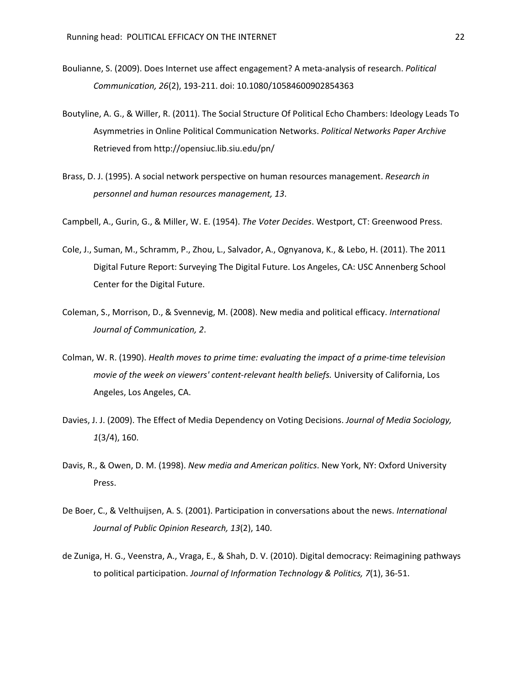- Boulianne, S. (2009). Does Internet use affect engagement? A meta-analysis of research. *Political Communication, 26*(2), 193-211. doi: 10.1080/10584600902854363
- Boutyline, A. G., & Willer, R. (2011). The Social Structure Of Political Echo Chambers: Ideology Leads To Asymmetries in Online Political Communication Networks. *Political Networks Paper Archive*  Retrieved from http://opensiuc.lib.siu.edu/pn/
- Brass, D. J. (1995). A social network perspective on human resources management. *Research in personnel and human resources management, 13*.
- Campbell, A., Gurin, G., & Miller, W. E. (1954). *The Voter Decides*. Westport, CT: Greenwood Press.
- Cole, J., Suman, M., Schramm, P., Zhou, L., Salvador, A., Ognyanova, K., & Lebo, H. (2011). The 2011 Digital Future Report: Surveying The Digital Future. Los Angeles, CA: USC Annenberg School Center for the Digital Future.
- Coleman, S., Morrison, D., & Svennevig, M. (2008). New media and political efficacy. *International Journal of Communication, 2*.
- Colman, W. R. (1990). *Health moves to prime time: evaluating the impact of a prime-time television movie of the week on viewers' content-relevant health beliefs.* University of California, Los Angeles, Los Angeles, CA.
- Davies, J. J. (2009). The Effect of Media Dependency on Voting Decisions. *Journal of Media Sociology, 1*(3/4), 160.
- Davis, R., & Owen, D. M. (1998). *New media and American politics*. New York, NY: Oxford University Press.
- De Boer, C., & Velthuijsen, A. S. (2001). Participation in conversations about the news. *International Journal of Public Opinion Research, 13*(2), 140.
- de Zuniga, H. G., Veenstra, A., Vraga, E., & Shah, D. V. (2010). Digital democracy: Reimagining pathways to political participation. *Journal of Information Technology & Politics, 7*(1), 36-51.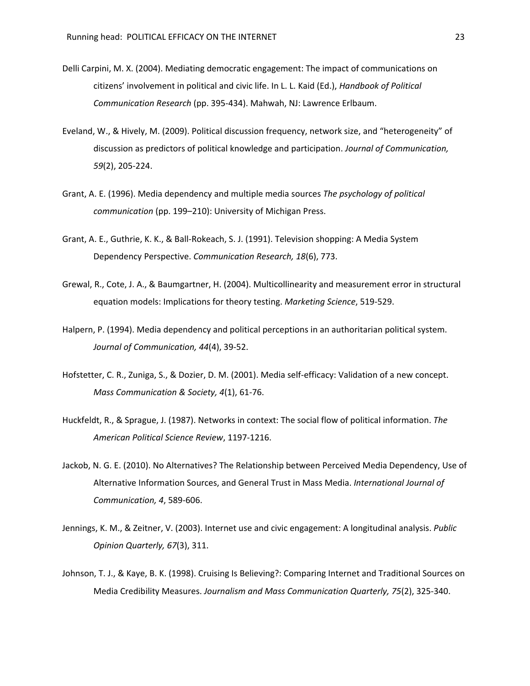- Delli Carpini, M. X. (2004). Mediating democratic engagement: The impact of communications on citizens' involvement in political and civic life. In L. L. Kaid (Ed.), *Handbook of Political Communication Research* (pp. 395-434). Mahwah, NJ: Lawrence Erlbaum.
- Eveland, W., & Hively, M. (2009). Political discussion frequency, network size, and "heterogeneity" of discussion as predictors of political knowledge and participation. *Journal of Communication, 59*(2), 205-224.
- Grant, A. E. (1996). Media dependency and multiple media sources *The psychology of political communication* (pp. 199–210): University of Michigan Press.
- Grant, A. E., Guthrie, K. K., & Ball-Rokeach, S. J. (1991). Television shopping: A Media System Dependency Perspective. *Communication Research, 18*(6), 773.
- Grewal, R., Cote, J. A., & Baumgartner, H. (2004). Multicollinearity and measurement error in structural equation models: Implications for theory testing. *Marketing Science*, 519-529.
- Halpern, P. (1994). Media dependency and political perceptions in an authoritarian political system. *Journal of Communication, 44*(4), 39-52.
- Hofstetter, C. R., Zuniga, S., & Dozier, D. M. (2001). Media self-efficacy: Validation of a new concept. *Mass Communication & Society, 4*(1), 61-76.
- Huckfeldt, R., & Sprague, J. (1987). Networks in context: The social flow of political information. *The American Political Science Review*, 1197-1216.
- Jackob, N. G. E. (2010). No Alternatives? The Relationship between Perceived Media Dependency, Use of Alternative Information Sources, and General Trust in Mass Media. *International Journal of Communication, 4*, 589-606.
- Jennings, K. M., & Zeitner, V. (2003). Internet use and civic engagement: A longitudinal analysis. *Public Opinion Quarterly, 67*(3), 311.
- Johnson, T. J., & Kaye, B. K. (1998). Cruising Is Believing?: Comparing Internet and Traditional Sources on Media Credibility Measures. *Journalism and Mass Communication Quarterly, 75*(2), 325-340.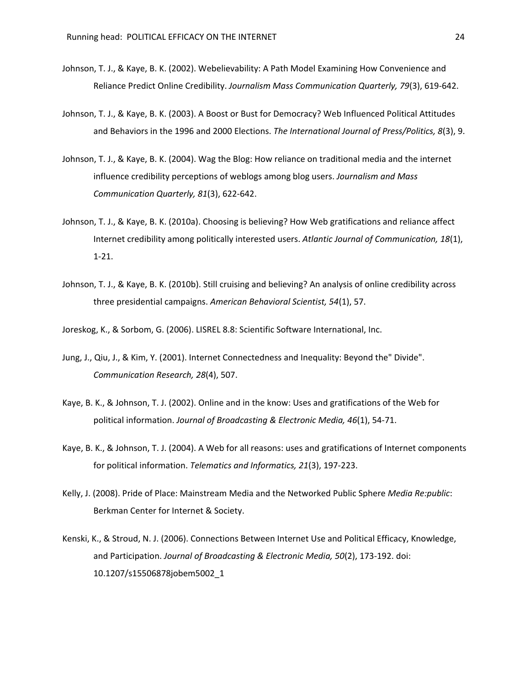- Johnson, T. J., & Kaye, B. K. (2002). Webelievability: A Path Model Examining How Convenience and Reliance Predict Online Credibility. *Journalism Mass Communication Quarterly, 79*(3), 619-642.
- Johnson, T. J., & Kaye, B. K. (2003). A Boost or Bust for Democracy? Web Influenced Political Attitudes and Behaviors in the 1996 and 2000 Elections. *The International Journal of Press/Politics, 8*(3), 9.
- Johnson, T. J., & Kaye, B. K. (2004). Wag the Blog: How reliance on traditional media and the internet influence credibility perceptions of weblogs among blog users. *Journalism and Mass Communication Quarterly, 81*(3), 622-642.
- Johnson, T. J., & Kaye, B. K. (2010a). Choosing is believing? How Web gratifications and reliance affect Internet credibility among politically interested users. *Atlantic Journal of Communication, 18*(1), 1-21.
- Johnson, T. J., & Kaye, B. K. (2010b). Still cruising and believing? An analysis of online credibility across three presidential campaigns. *American Behavioral Scientist, 54*(1), 57.

Joreskog, K., & Sorbom, G. (2006). LISREL 8.8: Scientific Software International, Inc.

- Jung, J., Qiu, J., & Kim, Y. (2001). Internet Connectedness and Inequality: Beyond the" Divide". *Communication Research, 28*(4), 507.
- Kaye, B. K., & Johnson, T. J. (2002). Online and in the know: Uses and gratifications of the Web for political information. *Journal of Broadcasting & Electronic Media, 46*(1), 54-71.
- Kaye, B. K., & Johnson, T. J. (2004). A Web for all reasons: uses and gratifications of Internet components for political information. *Telematics and Informatics, 21*(3), 197-223.
- Kelly, J. (2008). Pride of Place: Mainstream Media and the Networked Public Sphere *Media Re:public*: Berkman Center for Internet & Society.
- Kenski, K., & Stroud, N. J. (2006). Connections Between Internet Use and Political Efficacy, Knowledge, and Participation. *Journal of Broadcasting & Electronic Media, 50*(2), 173-192. doi: 10.1207/s15506878jobem5002\_1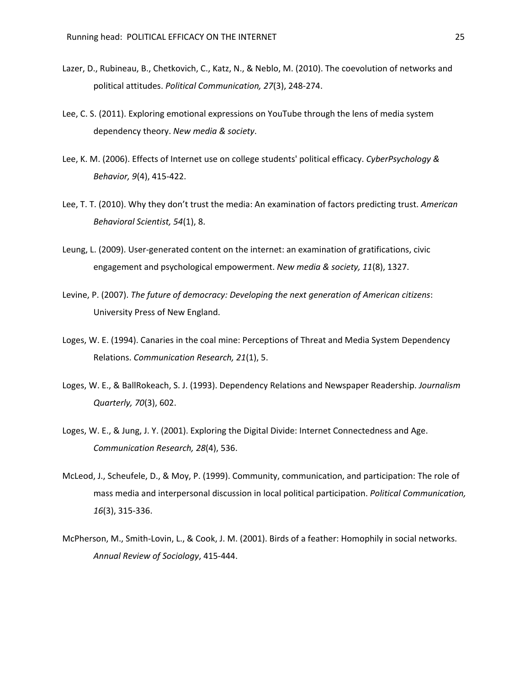- Lazer, D., Rubineau, B., Chetkovich, C., Katz, N., & Neblo, M. (2010). The coevolution of networks and political attitudes. *Political Communication, 27*(3), 248-274.
- Lee, C. S. (2011). Exploring emotional expressions on YouTube through the lens of media system dependency theory. *New media & society*.
- Lee, K. M. (2006). Effects of Internet use on college students' political efficacy. *CyberPsychology & Behavior, 9*(4), 415-422.
- Lee, T. T. (2010). Why they don't trust the media: An examination of factors predicting trust. *American Behavioral Scientist, 54*(1), 8.
- Leung, L. (2009). User-generated content on the internet: an examination of gratifications, civic engagement and psychological empowerment. *New media & society, 11*(8), 1327.
- Levine, P. (2007). *The future of democracy: Developing the next generation of American citizens*: University Press of New England.
- Loges, W. E. (1994). Canaries in the coal mine: Perceptions of Threat and Media System Dependency Relations. *Communication Research, 21*(1), 5.
- Loges, W. E., & BallRokeach, S. J. (1993). Dependency Relations and Newspaper Readership. *Journalism Quarterly, 70*(3), 602.
- Loges, W. E., & Jung, J. Y. (2001). Exploring the Digital Divide: Internet Connectedness and Age. *Communication Research, 28*(4), 536.
- McLeod, J., Scheufele, D., & Moy, P. (1999). Community, communication, and participation: The role of mass media and interpersonal discussion in local political participation. *Political Communication, 16*(3), 315-336.
- McPherson, M., Smith-Lovin, L., & Cook, J. M. (2001). Birds of a feather: Homophily in social networks. *Annual Review of Sociology*, 415-444.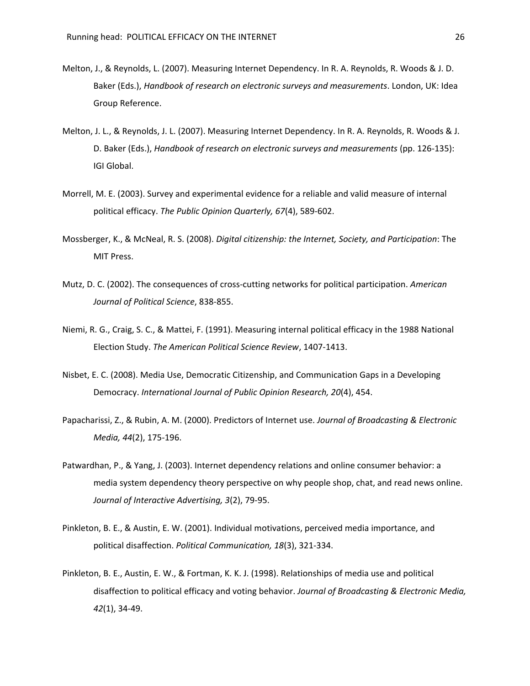- Melton, J., & Reynolds, L. (2007). Measuring Internet Dependency. In R. A. Reynolds, R. Woods & J. D. Baker (Eds.), *Handbook of research on electronic surveys and measurements*. London, UK: Idea Group Reference.
- Melton, J. L., & Reynolds, J. L. (2007). Measuring Internet Dependency. In R. A. Reynolds, R. Woods & J. D. Baker (Eds.), *Handbook of research on electronic surveys and measurements* (pp. 126-135): IGI Global.
- Morrell, M. E. (2003). Survey and experimental evidence for a reliable and valid measure of internal political efficacy. *The Public Opinion Quarterly, 67*(4), 589-602.
- Mossberger, K., & McNeal, R. S. (2008). *Digital citizenship: the Internet, Society, and Participation*: The MIT Press.
- Mutz, D. C. (2002). The consequences of cross-cutting networks for political participation. *American Journal of Political Science*, 838-855.
- Niemi, R. G., Craig, S. C., & Mattei, F. (1991). Measuring internal political efficacy in the 1988 National Election Study. *The American Political Science Review*, 1407-1413.
- Nisbet, E. C. (2008). Media Use, Democratic Citizenship, and Communication Gaps in a Developing Democracy. *International Journal of Public Opinion Research, 20*(4), 454.
- Papacharissi, Z., & Rubin, A. M. (2000). Predictors of Internet use. *Journal of Broadcasting & Electronic Media, 44*(2), 175-196.
- Patwardhan, P., & Yang, J. (2003). Internet dependency relations and online consumer behavior: a media system dependency theory perspective on why people shop, chat, and read news online. *Journal of Interactive Advertising, 3*(2), 79-95.
- Pinkleton, B. E., & Austin, E. W. (2001). Individual motivations, perceived media importance, and political disaffection. *Political Communication, 18*(3), 321-334.
- Pinkleton, B. E., Austin, E. W., & Fortman, K. K. J. (1998). Relationships of media use and political disaffection to political efficacy and voting behavior. *Journal of Broadcasting & Electronic Media, 42*(1), 34-49.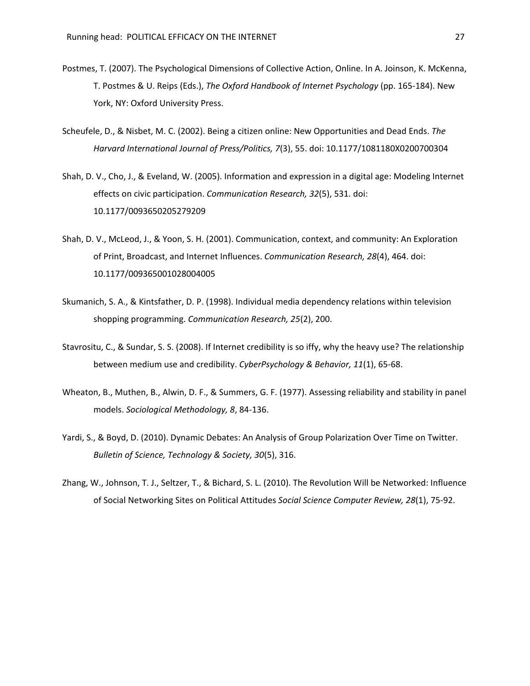- Postmes, T. (2007). The Psychological Dimensions of Collective Action, Online. In A. Joinson, K. McKenna, T. Postmes & U. Reips (Eds.), *The Oxford Handbook of Internet Psychology* (pp. 165-184). New York, NY: Oxford University Press.
- Scheufele, D., & Nisbet, M. C. (2002). Being a citizen online: New Opportunities and Dead Ends. *The Harvard International Journal of Press/Politics, 7*(3), 55. doi: 10.1177/1081180X0200700304
- Shah, D. V., Cho, J., & Eveland, W. (2005). Information and expression in a digital age: Modeling Internet effects on civic participation. *Communication Research, 32*(5), 531. doi: 10.1177/0093650205279209
- Shah, D. V., McLeod, J., & Yoon, S. H. (2001). Communication, context, and community: An Exploration of Print, Broadcast, and Internet Influences. *Communication Research, 28*(4), 464. doi: 10.1177/009365001028004005
- Skumanich, S. A., & Kintsfather, D. P. (1998). Individual media dependency relations within television shopping programming. *Communication Research, 25*(2), 200.
- Stavrositu, C., & Sundar, S. S. (2008). If Internet credibility is so iffy, why the heavy use? The relationship between medium use and credibility. *CyberPsychology & Behavior, 11*(1), 65-68.
- Wheaton, B., Muthen, B., Alwin, D. F., & Summers, G. F. (1977). Assessing reliability and stability in panel models. *Sociological Methodology, 8*, 84-136.
- Yardi, S., & Boyd, D. (2010). Dynamic Debates: An Analysis of Group Polarization Over Time on Twitter. *Bulletin of Science, Technology & Society, 30*(5), 316.
- Zhang, W., Johnson, T. J., Seltzer, T., & Bichard, S. L. (2010). The Revolution Will be Networked: Influence of Social Networking Sites on Political Attitudes *Social Science Computer Review, 28*(1), 75-92.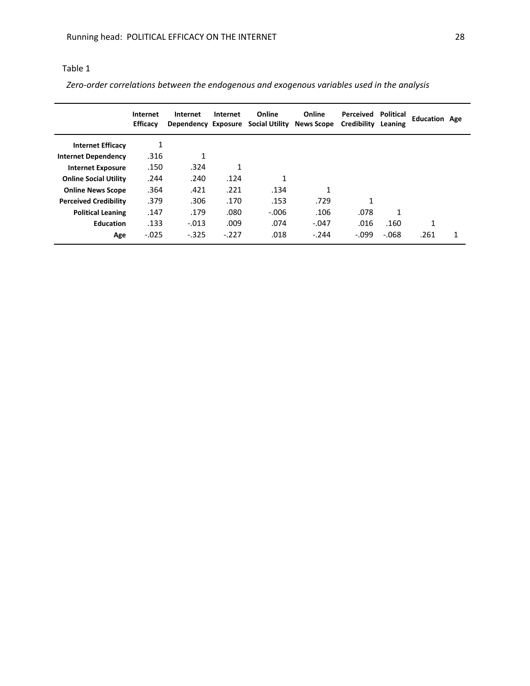# Table 1

 *Zero-order correlations between the endogenous and exogenous variables used in the analysis* 

|                              | Internet<br><b>Efficacy</b> | Internet<br>Dependency Exposure | Internet | Online<br><b>Social Utility</b> | Online<br><b>News Scope</b> | Perceived<br><b>Credibility</b> | Political<br>Leaning | <b>Education Age</b> |   |
|------------------------------|-----------------------------|---------------------------------|----------|---------------------------------|-----------------------------|---------------------------------|----------------------|----------------------|---|
| <b>Internet Efficacy</b>     | 1                           |                                 |          |                                 |                             |                                 |                      |                      |   |
| <b>Internet Dependency</b>   | .316                        | 1                               |          |                                 |                             |                                 |                      |                      |   |
| <b>Internet Exposure</b>     | .150                        | .324                            | 1        |                                 |                             |                                 |                      |                      |   |
| <b>Online Social Utility</b> | .244                        | .240                            | .124     | 1                               |                             |                                 |                      |                      |   |
| <b>Online News Scope</b>     | .364                        | .421                            | .221     | .134                            | 1                           |                                 |                      |                      |   |
| <b>Perceived Credibility</b> | .379                        | .306                            | .170     | .153                            | .729                        | 1                               |                      |                      |   |
| <b>Political Leaning</b>     | .147                        | .179                            | .080     | $-.006$                         | .106                        | .078                            | 1                    |                      |   |
| <b>Education</b>             | .133                        | $-.013$                         | .009     | .074                            | $-.047$                     | .016                            | .160                 | 1                    |   |
| Age                          | $-.025$                     | $-.325$                         | $-.227$  | .018                            | $-.244$                     | $-.099$                         | $-068$               | .261                 | 1 |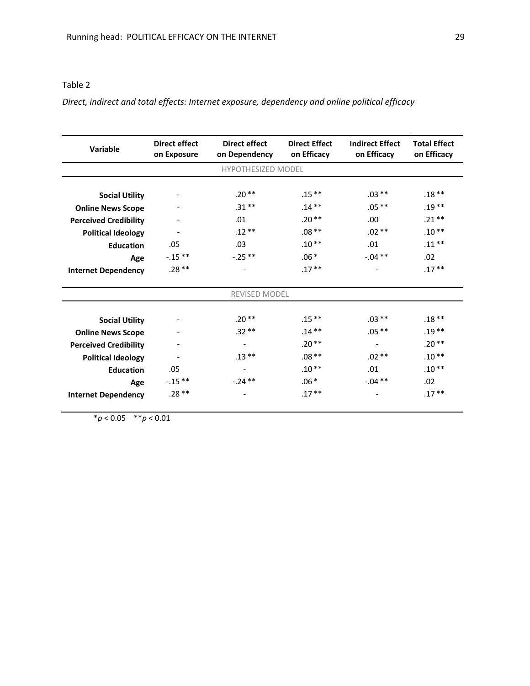# Table 2

*Direct, indirect and total effects: Internet exposure, dependency and online political efficacy*

| Variable                     | <b>Direct effect</b><br>on Exposure | <b>Direct effect</b><br>on Dependency | <b>Direct Effect</b><br>on Efficacy | <b>Indirect Effect</b><br>on Efficacy | <b>Total Effect</b><br>on Efficacy |  |  |  |  |  |  |  |
|------------------------------|-------------------------------------|---------------------------------------|-------------------------------------|---------------------------------------|------------------------------------|--|--|--|--|--|--|--|
| <b>HYPOTHESIZED MODEL</b>    |                                     |                                       |                                     |                                       |                                    |  |  |  |  |  |  |  |
|                              |                                     |                                       |                                     |                                       |                                    |  |  |  |  |  |  |  |
| <b>Social Utility</b>        |                                     | $.20**$                               | $.15***$                            | $.03**$                               | $.18**$                            |  |  |  |  |  |  |  |
| <b>Online News Scope</b>     |                                     | $.31***$                              | $.14***$                            | $.05**$                               | $.19**$                            |  |  |  |  |  |  |  |
| <b>Perceived Credibility</b> |                                     | .01                                   | $.20**$                             | .00.                                  | $.21**$                            |  |  |  |  |  |  |  |
| <b>Political Ideology</b>    |                                     | $.12**$                               | $.08**$                             | $.02**$                               | $.10**$                            |  |  |  |  |  |  |  |
| <b>Education</b>             | .05                                 | .03                                   | $.10**$                             | .01                                   | $.11***$                           |  |  |  |  |  |  |  |
| Age                          | $-.15**$                            | $-.25**$                              | $.06*$                              | $-.04**$                              | .02                                |  |  |  |  |  |  |  |
| <b>Internet Dependency</b>   | $.28**$                             | $\overline{\phantom{a}}$              | $.17**$                             |                                       | $.17***$                           |  |  |  |  |  |  |  |
| <b>REVISED MODEL</b>         |                                     |                                       |                                     |                                       |                                    |  |  |  |  |  |  |  |
| <b>Social Utility</b>        |                                     | $.20**$                               | $.15***$                            | $.03**$                               | $.18**$                            |  |  |  |  |  |  |  |
| <b>Online News Scope</b>     |                                     | $.32**$                               | $.14***$                            | $.05**$                               | $.19**$                            |  |  |  |  |  |  |  |
| <b>Perceived Credibility</b> |                                     | $\overline{\phantom{a}}$              | $.20**$                             | $\overline{\phantom{a}}$              | $.20**$                            |  |  |  |  |  |  |  |
| <b>Political Ideology</b>    |                                     | $.13***$                              | $.08**$                             | $.02**$                               | $.10**$                            |  |  |  |  |  |  |  |
| <b>Education</b>             | .05                                 | $\overline{\phantom{a}}$              | $.10**$                             | .01                                   | $.10**$                            |  |  |  |  |  |  |  |
| Age                          | $-.15**$                            | $-.24**$                              | $.06*$                              | $-.04**$                              | .02                                |  |  |  |  |  |  |  |
| <b>Internet Dependency</b>   | $.28**$                             |                                       | $.17**$                             |                                       | $.17**$                            |  |  |  |  |  |  |  |

\**p* < 0.05 \*\**p* < 0.01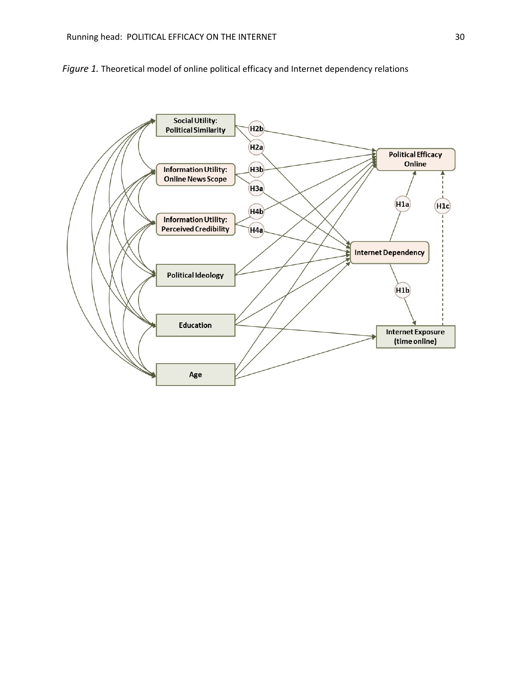